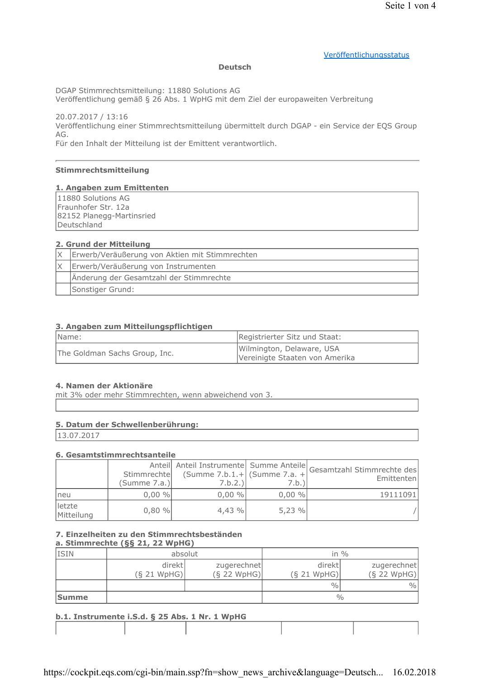### Veröffentlichungsstatus

### **Deutsch**

DGAP Stimmrechtsmitteilung: 11880 Solutions AG

Veröffentlichung gemäß § 26 Abs. 1 WpHG mit dem Ziel der europaweiten Verbreitung

20.07.2017 / 13:16 Veröffentlichung einer Stimmrechtsmitteilung übermittelt durch DGAP - ein Service der EQS Group AG.

Für den Inhalt der Mitteilung ist der Emittent verantwortlich.

### Stimmrechtsmitteilung

### 1. Angaben zum Emittenten

11880 Solutions AG Fraunhofer Str. 12a 82152 Planegg-Martinsried Deutschland

### 2. Grund der Mitteilung

| Erwerb/Veräußerung von Aktien mit Stimmrechten |  |
|------------------------------------------------|--|
| Erwerb/Veräußerung von Instrumenten            |  |
| Änderung der Gesamtzahl der Stimmrechte        |  |
| Sonstiger Grund:                               |  |

### 3. Angaben zum Mitteilungspflichtigen

| Name:                         | Registrierter Sitz und Staat:                               |
|-------------------------------|-------------------------------------------------------------|
| The Goldman Sachs Group, Inc. | Wilmington, Delaware, USA<br>Vereinigte Staaten von Amerika |

### 4. Namen der Aktionäre

mit 3% oder mehr Stimmrechten, wenn abweichend von 3.

# 5. Datum der Schwellenberührung:

13.07.2017

### 6. Gesamtstimmrechtsanteile

|                      | Stimmrechte<br>(Summe 7.a.) | $(Summe 7.b.1.+  (Summe 7.a. + $<br>7.b.2.) | 7.b.)    | Anteil Anteil Instrumente Summe Anteile Gesamtzahl Stimmrechte des<br>Emittenten |
|----------------------|-----------------------------|---------------------------------------------|----------|----------------------------------------------------------------------------------|
| neu                  | $0.00 \%$                   | $0,00\%$                                    | $0,00\%$ | 19111091                                                                         |
| letzte<br>Mitteilung | 0.80%                       | 4.43%                                       | 5.23%    |                                                                                  |

#### 7. Einzelheiten zu den Stimmrechtsbeständen a. Stimmrechte (§§ 21, 22 WpHG)

| $\frac{1}{2}$ of seminary context (33 44/44 W prior) |                       |                              |                       |                              |  |
|------------------------------------------------------|-----------------------|------------------------------|-----------------------|------------------------------|--|
| <b>ISIN</b>                                          | absolut               |                              | in $\%$               |                              |  |
|                                                      | direkt<br>(S 21 WpHG) | zugerechnet<br>$(S$ 22 WpHG) | direkt<br>(S 21 WpHG) | zugerechnet<br>$(S$ 22 WpHG) |  |
|                                                      |                       |                              | $\frac{0}{0}$         | $\frac{0}{0}$                |  |
| <b>Summe</b>                                         |                       |                              | $\frac{0}{0}$         |                              |  |

# b.1. Instrumente i.S.d. § 25 Abs. 1 Nr. 1 WpHG

https://cockpit.eqs.com/cgi-bin/main.ssp?fn=show\_news\_archive&language=Deutsch... 16.02.2018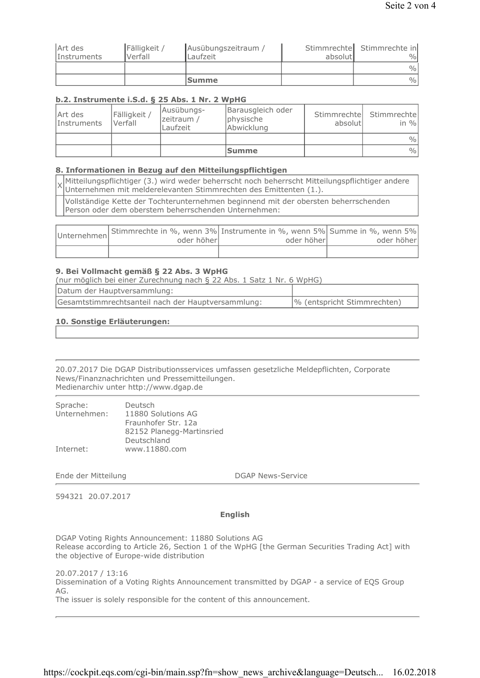|             |              | <b>Summe</b>        |         | $\frac{0}{0}$<br>$\frac{0}{0}$ |
|-------------|--------------|---------------------|---------|--------------------------------|
| Instruments | Verfall      | Laufzeit            | absolut | $\frac{0}{0}$                  |
| Art des     | Fälligkeit / | Ausübungszeitraum / |         | Stimmrechte Stimmrechte in     |

# b.2. Instrumente i.S.d. § 25 Abs. 1 Nr. 2 WpHG

| Art des<br><i>Instruments</i> | Fälligkeit /<br>Verfall | Ausübungs-<br>zeitraum /<br>Laufzeit | Barausgleich oder<br>physische<br>Abwicklung | absolutl | Stimmrechte Stimmrechte<br>in $\%$ |
|-------------------------------|-------------------------|--------------------------------------|----------------------------------------------|----------|------------------------------------|
|                               |                         |                                      |                                              |          | $\frac{0}{0}$                      |
|                               |                         |                                      | <b>Summe</b>                                 |          | $\frac{0}{0}$                      |

# 8. Informationen in Bezug auf den Mitteilungspflichtigen

Mitteilungspflichtiger (3.) wird weder beherrscht noch beherrscht Mitteilungspflichtiger andere Unternehmen mit melderelevanten Stimmrechten des Emittenten (1.).

Vollständige Kette der Tochterunternehmen beginnend mit der obersten beherrschenden Person oder dem oberstem beherrschenden Unternehmen:

| Unternehmen Stimmrechte in %, wenn 3% Instrumente in %, wenn 5% Summe in %, wenn 5%<br>oder höherl | oder höherl | oder höher |
|----------------------------------------------------------------------------------------------------|-------------|------------|
|                                                                                                    |             |            |

### 9. Bei Vollmacht gemäß § 22 Abs. 3 WpHG

| (nur möglich bei einer Zurechnung nach § 22 Abs. 1 Satz 1 Nr. 6 WpHG) |                             |
|-----------------------------------------------------------------------|-----------------------------|
| Datum der Hauptversammlung:                                           |                             |
| Gesamtstimmrechtsanteil nach der Hauptversammlung:                    | % (entspricht Stimmrechten) |

### 10. Sonstige Erläuterungen:

20.07.2017 Die DGAP Distributionsservices umfassen gesetzliche Meldepflichten, Corporate News/Finanznachrichten und Pressemitteilungen. Medienarchiv unter http://www.dgap.de

| Sprache:     | Deutsch                   |
|--------------|---------------------------|
| Unternehmen: | 11880 Solutions AG        |
|              | Fraunhofer Str. 12a       |
|              | 82152 Planegg-Martinsried |
|              | Deutschland               |
| Internet:    | www.11880.com             |

Ende der Mitteilung

**DGAP News-Service** 

594321 20.07.2017

# **English**

DGAP Voting Rights Announcement: 11880 Solutions AG Release according to Article 26, Section 1 of the WpHG [the German Securities Trading Act] with the objective of Europe-wide distribution

20.07.2017 / 13:16

Dissemination of a Voting Rights Announcement transmitted by DGAP - a service of EQS Group AG.

The issuer is solely responsible for the content of this announcement.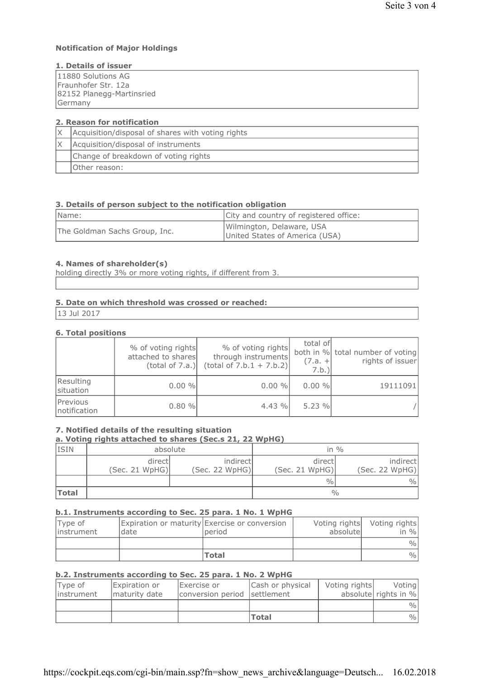# **Notification of Major Holdings**

# 1. Details of issuer

| 11880 Solutions AG        |  |
|---------------------------|--|
| Fraunhofer Str. 12a       |  |
| 82152 Planegg-Martinsried |  |
| Germany                   |  |
|                           |  |

# 2. Reason for notification

| Acquisition/disposal of shares with voting rights |  |
|---------------------------------------------------|--|
| Acquisition/disposal of instruments               |  |
| Change of breakdown of voting rights              |  |
| <b>Other reason:</b>                              |  |

### 3. Details of person subject to the notification obligation

| Name:                         | City and country of registered office:                      |
|-------------------------------|-------------------------------------------------------------|
| The Goldman Sachs Group, Inc. | Wilmington, Delaware, USA<br>United States of America (USA) |

### 4. Names of shareholder(s)

holding directly 3% or more voting rights, if different from 3.

# 5. Date on which threshold was crossed or reached:

13 Jul 2017

### **6. Total positions**

|                          | % of voting rights<br>attached to shares<br>(total of 7.a.) | % of voting rights<br>through instruments<br>$(total of 7.b.1 + 7.b.2)$ | total of<br>$(7.a. +$<br>7.b.) | both in % total number of voting<br>rights of issuer |
|--------------------------|-------------------------------------------------------------|-------------------------------------------------------------------------|--------------------------------|------------------------------------------------------|
| Resulting<br>situation   | $0.00 \%$                                                   | $0.00 \%$                                                               | $0.00 \%$                      | 19111091                                             |
| Previous<br>notification | 0.80%                                                       | 4.43%                                                                   | 5.23%                          |                                                      |

# 7. Notified details of the resulting situation

# a. Voting rights attached to shares (Sec.s 21, 22 WpHG)

| <b>ISIN</b>  | absolute                  |                             | in $\%$                   |                            |
|--------------|---------------------------|-----------------------------|---------------------------|----------------------------|
|              | directl<br>(Sec. 21 WpHG) | indirectl<br>(Sec. 22 WpHG) | directl<br>(Sec. 21 WpHG) | indirect<br>(Sec. 22 WpHG) |
|              |                           |                             | $\frac{0}{0}$             | $\frac{0}{0}$              |
| <b>Total</b> |                           |                             | $\frac{0}{0}$             |                            |

### b.1. Instruments according to Sec. 25 para. 1 No. 1 WpHG

| Type of     |      | Expiration or maturity Exercise or conversion |          | Voting rights Voting rights |
|-------------|------|-----------------------------------------------|----------|-----------------------------|
| linstrument | date | period                                        | absolute | $\mathsf{in} \mathcal{%}$   |
|             |      |                                               |          | $\frac{0}{0}$               |
|             |      | <b>Total</b>                                  |          | $\frac{0}{0}$               |

# b.2. Instruments according to Sec. 25 para. 1 No. 2 WpHG

| Type of<br>linstrument | Expiration or<br>maturity date | Exercise or<br>conversion period settlement | Cash or physical | Voting rights | Voting<br>absolute rights in % |
|------------------------|--------------------------------|---------------------------------------------|------------------|---------------|--------------------------------|
|                        |                                |                                             |                  |               | $\frac{0}{0}$                  |
|                        |                                |                                             | <b>Total</b>     |               | $\frac{0}{0}$                  |